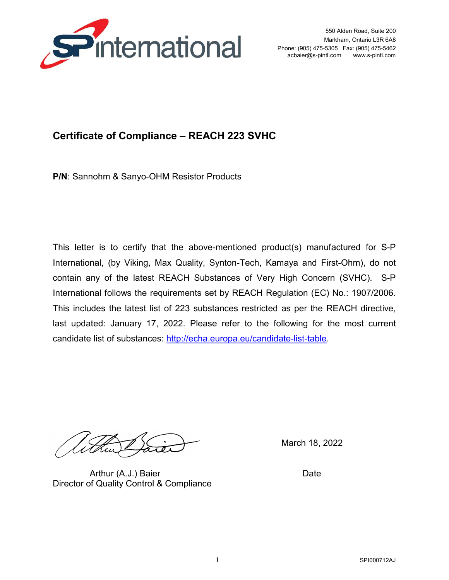

## **Certificate of Compliance – REACH 223 SVHC**

**P/N**: Sannohm & Sanyo-OHM Resistor Products

This letter is to certify that the above-mentioned product(s) manufactured for S-P International, (by Viking, Max Quality, Synton-Tech, Kamaya and First-Ohm), do not contain any of the latest REACH Substances of Very High Concern (SVHC). S-P International follows the requirements set by REACH Regulation (EC) No.: 1907/2006. This includes the latest list of 223 substances restricted as per the REACH directive, last updated: January 17, 2022. Please refer to the following for the most current candidate list of substances: http://echa.europa.eu/candidate-list-table.

Arthur (A.J.) Baier **Date** Director of Quality Control & Compliance

March 18, 2022